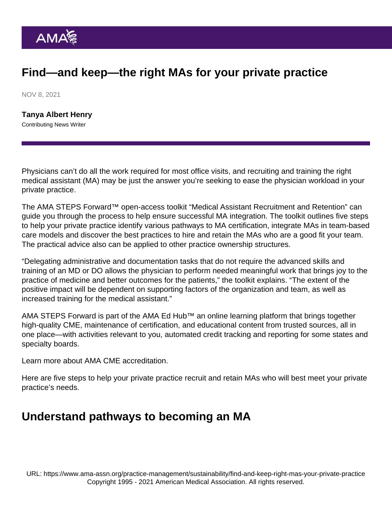# Find—and keep—the right MAs for your private practice

NOV 8, 2021

[Tanya Albert Henry](https://www.ama-assn.org/news-leadership-viewpoints/authors-news-leadership-viewpoints/tanya-albert-henry) Contributing News Writer

Physicians can't do all the work required for most office visits, and recruiting and training the right medical assistant (MA) may be just the answer you're seeking to ease the physician workload in your private practice.

The [AMA STEPS Forward](https://edhub.ama-assn.org/steps-forward/)™ open-access toolkit ["Medical Assistant Recruitment and Retention"](https://edhub.ama-assn.org/steps-forward/module/2784465) can guide you through the process to help ensure successful MA integration. The toolkit outlines five steps to help your private practice identify various pathways to MA certification, integrate MAs in team-based care models and discover the best practices to hire and retain the MAs who are a good fit your team. The practical advice also can be applied to other practice ownership structures.

"Delegating administrative and documentation tasks that do not require the advanced skills and training of an MD or DO allows the physician to perform needed meaningful work that brings joy to the practice of medicine and better outcomes for the patients," the toolkit explains. "The extent of the positive impact will be dependent on supporting factors of the organization and team, as well as increased training for the medical assistant."

AMA STEPS Forward is part of the [AMA Ed Hub](https://edhub.ama-assn.org/)<sup>™</sup> an online learning platform that brings together high-quality CME, maintenance of certification, and educational content from trusted sources, all in one place—with activities relevant to you, automated credit tracking and reporting for some states and specialty boards.

Learn more about [AMA CME accreditation](https://edhub.ama-assn.org/pages/ama-cme).

Here are five steps to help your private practice recruit and retain MAs who will best meet your private practice's needs.

#### Understand pathways to becoming an MA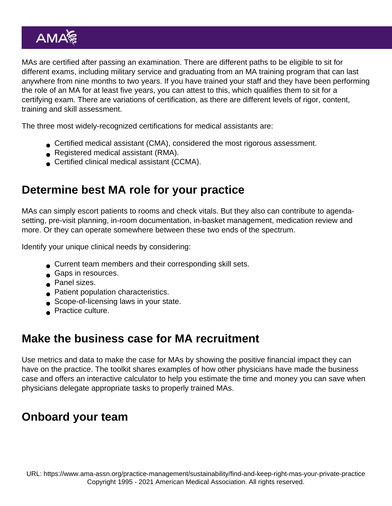MAs are certified after passing an examination. There are different paths to be eligible to sit for different exams, including military service and graduating from an MA training program that can last anywhere from nine months to two years. If you have trained your staff and they have been performing the role of an MA for at least five years, you can attest to this, which qualifies them to sit for a certifying exam. There are variations of certification, as there are different levels of rigor, content, training and skill assessment.

The three most widely-recognized certifications for medical assistants are:

- Certified medical assistant (CMA), considered the most rigorous assessment.
- Registered medical assistant (RMA).
- **Certified clinical medical assistant (CCMA).**

## Determine best MA role for your practice

MAs can simply escort patients to rooms and check vitals. But they also can contribute to agendasetting, pre-visit planning, in-room documentation, in-basket management, medication review and more. Or they can operate somewhere between these two ends of the spectrum.

Identify your unique clinical needs by considering:

- Current team members and their corresponding skill sets.
- Gaps in resources.
- Panel sizes.
- **Patient population characteristics.**
- Scope-of-licensing laws in your state.
- **Practice culture.**

#### Make the business case for MA recruitment

Use metrics and data to make the case for MAs by showing the positive financial impact they can have on the practice. The toolkit shares examples of how other physicians have made the business case and offers an interactive calculator to help you estimate the time and money you can save when physicians delegate appropriate tasks to properly trained MAs.

### Onboard your team